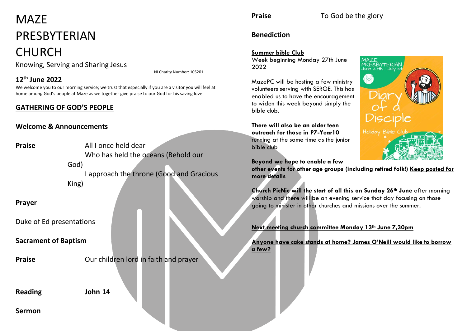# MA<sub>7</sub>F PRESBYTERIAN

## CHURCH

Knowing, Serving and Sharing Jesus

NI Charity Number: 105201

#### **12th June 2022**

We welcome you to our morning service; we trust that especially if you are a visitor you will feel at home among God's people at Maze as we together give praise to our God for his saving love

### **GATHERING OF GOD'S PEOPLE**

#### **Welcome & Announcements**

**Praise** All I once held dear Who has held the oceans (Behold our God) I approach the throne (Good and Gracious King) **Prayer**

Duke of Ed presentations

**Sacrament of Baptism**

**Praise C Our children lord in faith and prayer** 

**Reading John 14**

**Sermon**

**Praise** To God be the glory

#### **Benediction**

#### **Summer bible Club**

Week beginning Monday 27th June 2022

MazePC will be hosting a few ministry volunteers serving with SERGE. This has enabled us to have the encouragement to widen this week beyond simply the bible club.

**There will also be an older teen outreach for those in P7-Year10** running at the same time as the junior bible club

**Beyond we hope to enable a few** 

**other events for other age groups (including retired folk!) Keep posted for more details**

**Church PicNic will the start of all this on Sunday 26th June** after morning worship and there will be an evening service that day focusing on those going to minister in other churches and missions over the summer.

**Next meeting church committee Monday 13th June 7,30pm**

**Anyone have cake stands at home? James O'Neill would like to borrow** 

**a few?**